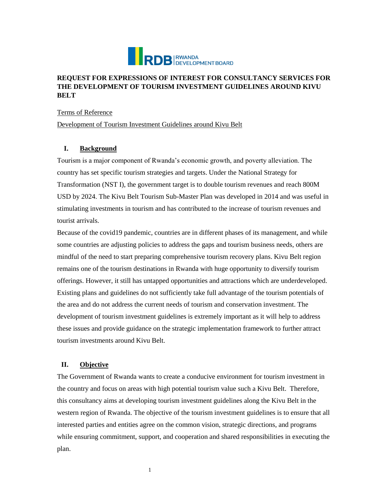

# **REQUEST FOR EXPRESSIONS OF INTEREST FOR CONSULTANCY SERVICES FOR THE DEVELOPMENT OF TOURISM INVESTMENT GUIDELINES AROUND KIVU BELT**

Terms of Reference

Development of Tourism Investment Guidelines around Kivu Belt

#### **I. Background**

Tourism is a major component of Rwanda's economic growth, and poverty alleviation. The country has set specific tourism strategies and targets. Under the National Strategy for Transformation (NST I), the government target is to double tourism revenues and reach 800M USD by 2024. The Kivu Belt Tourism Sub-Master Plan was developed in 2014 and was useful in stimulating investments in tourism and has contributed to the increase of tourism revenues and tourist arrivals.

Because of the covid19 pandemic, countries are in different phases of its management, and while some countries are adjusting policies to address the gaps and tourism business needs, others are mindful of the need to start preparing comprehensive tourism recovery plans. Kivu Belt region remains one of the tourism destinations in Rwanda with huge opportunity to diversify tourism offerings. However, it still has untapped opportunities and attractions which are underdeveloped. Existing plans and guidelines do not sufficiently take full advantage of the tourism potentials of the area and do not address the current needs of tourism and conservation investment. The development of tourism investment guidelines is extremely important as it will help to address these issues and provide guidance on the strategic implementation framework to further attract tourism investments around Kivu Belt.

### **II. Objective**

The Government of Rwanda wants to create a conducive environment for tourism investment in the country and focus on areas with high potential tourism value such a Kivu Belt. Therefore, this consultancy aims at developing tourism investment guidelines along the Kivu Belt in the western region of Rwanda. The objective of the tourism investment guidelines is to ensure that all interested parties and entities agree on the common vision, strategic directions, and programs while ensuring commitment, support, and cooperation and shared responsibilities in executing the plan.

1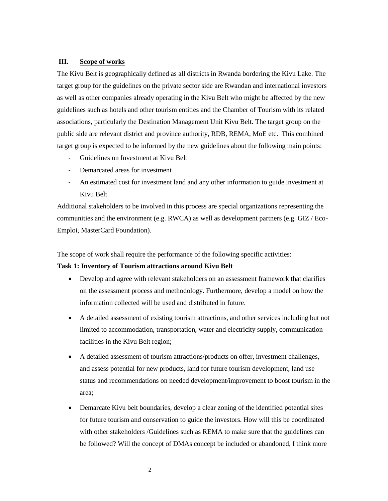#### **III. Scope of works**

The Kivu Belt is geographically defined as all districts in Rwanda bordering the Kivu Lake. The target group for the guidelines on the private sector side are Rwandan and international investors as well as other companies already operating in the Kivu Belt who might be affected by the new guidelines such as hotels and other tourism entities and the Chamber of Tourism with its related associations, particularly the Destination Management Unit Kivu Belt. The target group on the public side are relevant district and province authority, RDB, REMA, MoE etc. This combined target group is expected to be informed by the new guidelines about the following main points:

- Guidelines on Investment at Kivu Belt
- Demarcated areas for investment
- An estimated cost for investment land and any other information to guide investment at Kivu Belt

Additional stakeholders to be involved in this process are special organizations representing the communities and the environment (e.g. RWCA) as well as development partners (e.g.  $GIZ / Eco-$ Emploi, MasterCard Foundation).

The scope of work shall require the performance of the following specific activities:

#### **Task 1: Inventory of Tourism attractions around Kivu Belt**

- Develop and agree with relevant stakeholders on an assessment framework that clarifies on the assessment process and methodology. Furthermore, develop a model on how the information collected will be used and distributed in future.
- A detailed assessment of existing tourism attractions, and other services including but not limited to accommodation, transportation, water and electricity supply, communication facilities in the Kivu Belt region;
- A detailed assessment of tourism attractions/products on offer, investment challenges, and assess potential for new products, land for future tourism development, land use status and recommendations on needed development/improvement to boost tourism in the area;
- Demarcate Kivu belt boundaries, develop a clear zoning of the identified potential sites for future tourism and conservation to guide the investors. How will this be coordinated with other stakeholders /Guidelines such as REMA to make sure that the guidelines can be followed? Will the concept of DMAs concept be included or abandoned, I think more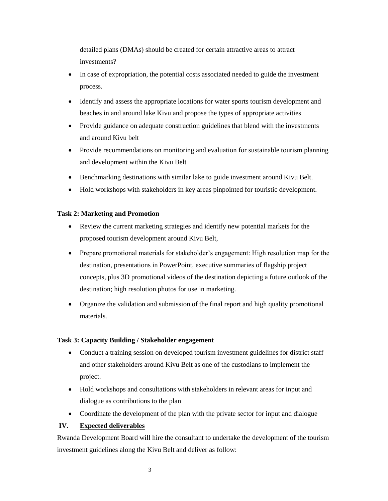detailed plans (DMAs) should be created for certain attractive areas to attract investments?

- In case of expropriation, the potential costs associated needed to guide the investment process.
- Identify and assess the appropriate locations for water sports tourism development and beaches in and around lake Kivu and propose the types of appropriate activities
- Provide guidance on adequate construction guidelines that blend with the investments and around Kivu belt
- Provide recommendations on monitoring and evaluation for sustainable tourism planning and development within the Kivu Belt
- Benchmarking destinations with similar lake to guide investment around Kivu Belt.
- Hold workshops with stakeholders in key areas pinpointed for touristic development.

### **Task 2: Marketing and Promotion**

- Review the current marketing strategies and identify new potential markets for the proposed tourism development around Kivu Belt,
- Prepare promotional materials for stakeholder's engagement: High resolution map for the destination, presentations in PowerPoint, executive summaries of flagship project concepts, plus 3D promotional videos of the destination depicting a future outlook of the destination; high resolution photos for use in marketing.
- Organize the validation and submission of the final report and high quality promotional materials.

#### **Task 3: Capacity Building / Stakeholder engagement**

- Conduct a training session on developed tourism investment guidelines for district staff and other stakeholders around Kivu Belt as one of the custodians to implement the project.
- Hold workshops and consultations with stakeholders in relevant areas for input and dialogue as contributions to the plan
- Coordinate the development of the plan with the private sector for input and dialogue

## **IV. Expected deliverables**

Rwanda Development Board will hire the consultant to undertake the development of the tourism investment guidelines along the Kivu Belt and deliver as follow: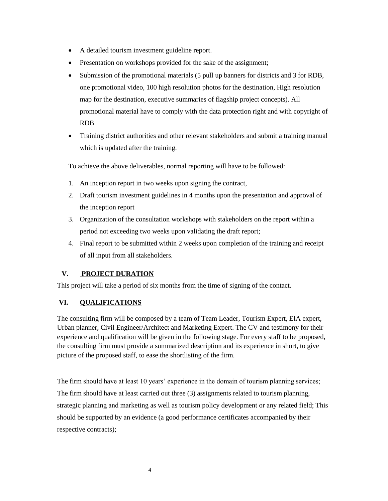- A detailed tourism investment guideline report.
- Presentation on workshops provided for the sake of the assignment;
- Submission of the promotional materials (5 pull up banners for districts and 3 for RDB, one promotional video, 100 high resolution photos for the destination, High resolution map for the destination, executive summaries of flagship project concepts). All promotional material have to comply with the data protection right and with copyright of RDB
- Training district authorities and other relevant stakeholders and submit a training manual which is updated after the training.

To achieve the above deliverables, normal reporting will have to be followed:

- 1. An inception report in two weeks upon signing the contract,
- 2. Draft tourism investment guidelines in 4 months upon the presentation and approval of the inception report
- 3. Organization of the consultation workshops with stakeholders on the report within a period not exceeding two weeks upon validating the draft report;
- 4. Final report to be submitted within 2 weeks upon completion of the training and receipt of all input from all stakeholders.

# **V. PROJECT DURATION**

This project will take a period of six months from the time of signing of the contact.

# **VI. QUALIFICATIONS**

The consulting firm will be composed by a team of Team Leader, Tourism Expert, EIA expert, Urban planner, Civil Engineer/Architect and Marketing Expert. The CV and testimony for their experience and qualification will be given in the following stage. For every staff to be proposed, the consulting firm must provide a summarized description and its experience in short, to give picture of the proposed staff, to ease the shortlisting of the firm.

The firm should have at least 10 years' experience in the domain of tourism planning services; The firm should have at least carried out three (3) assignments related to tourism planning, strategic planning and marketing as well as tourism policy development or any related field; This should be supported by an evidence (a good performance certificates accompanied by their respective contracts);